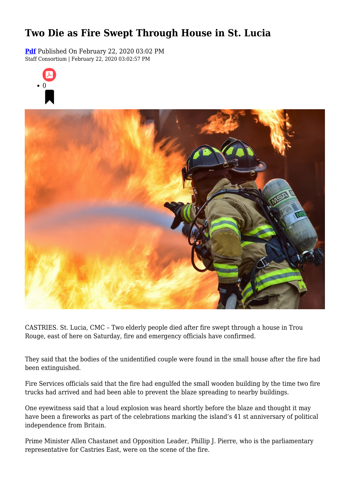## **Two Die as Fire Swept Through House in St. Lucia**

**[Pdf](https://viconsortium.com/caribbean-pdf)** Published On February 22, 2020 03:02 PM Staff Consortium | February 22, 2020 03:02:57 PM





CASTRIES. St. Lucia, CMC – Two elderly people died after fire swept through a house in Trou Rouge, east of here on Saturday, fire and emergency officials have confirmed.

They said that the bodies of the unidentified couple were found in the small house after the fire had been extinguished.

Fire Services officials said that the fire had engulfed the small wooden building by the time two fire trucks had arrived and had been able to prevent the blaze spreading to nearby buildings.

One eyewitness said that a loud explosion was heard shortly before the blaze and thought it may have been a fireworks as part of the celebrations marking the island's 41 st anniversary of political independence from Britain.

Prime Minister Allen Chastanet and Opposition Leader, Phillip J. Pierre, who is the parliamentary representative for Castries East, were on the scene of the fire.